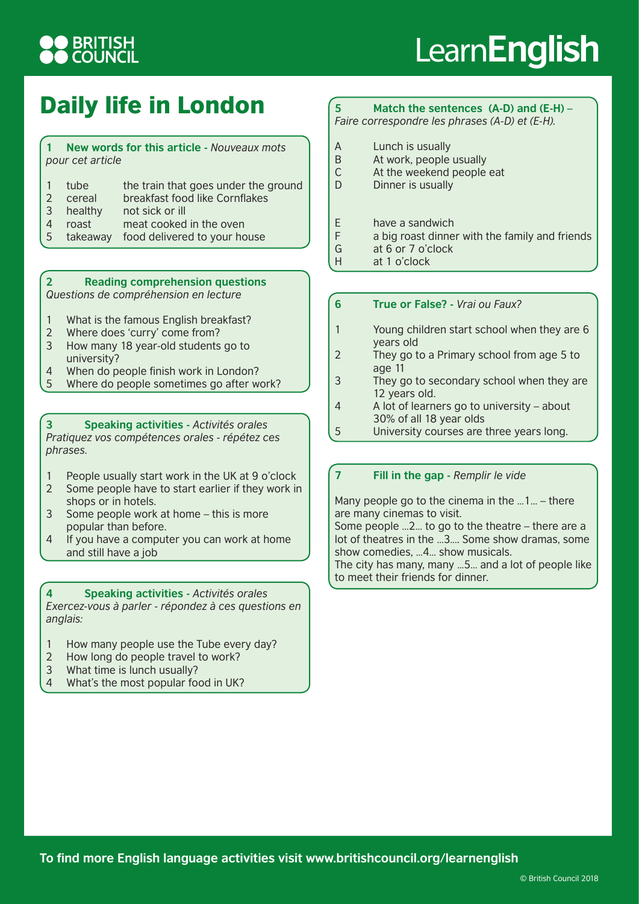## **BRITISH**<br>COUNCIL

# Learn**English**

### Daily life in London

|                  |  | New words for this article - Nouveaux mots |
|------------------|--|--------------------------------------------|
| pour cet article |  |                                            |

- 1 tube the train that goes under the ground 2 cereal breakfast food like Cornflakes 3 healthy not sick or ill
- 4 roast meat cooked in the oven
- 5 takeaway food delivered to your house

#### **2 Reading comprehension questions**  *Questions de compréhension en lecture*

- 1 What is the famous English breakfast?
- 2 Where does 'curry' come from?
- 3 How many 18 year-old students go to university?
- 4 When do people finish work in London?
- 5 Where do people sometimes go after work?

**3 Speaking activities -** *Activités orales Pratiquez vos compétences orales - répétez ces phrases.*

- 1 People usually start work in the UK at 9 o'clock
- 2 Some people have to start earlier if they work in shops or in hotels.
- 3 Some people work at home this is more popular than before.
- 4 If you have a computer you can work at home and still have a job

**4 Speaking activities -** *Activités orales Exercez-vous à parler - répondez à ces questions en anglais:*

- 1 How many people use the Tube every day?
- 2 How long do people travel to work?
- 3 What time is lunch usually?
- 4 What's the most popular food in UK?

### **5 Match the sentences (A-D) and (E-H) –**

*Faire correspondre les phrases (A-D) et (E-H).*

- A Lunch is usually<br>B At work, people
- At work, people usually
- C At the weekend people eat
- D Dinner is usually
- E have a sandwich
- F a big roast dinner with the family and friends
- G at 6 or 7 o'clock
- H at 1 o'clock

### **6 True or False? -** *Vrai ou Faux?*

- 1 Young children start school when they are 6 years old
- 2 They go to a Primary school from age 5 to age 11
- 3 They go to secondary school when they are 12 years old.
- 4 A lot of learners go to university about 30% of all 18 year olds
- 5 University courses are three years long.

### **7 Fill in the gap -** *Remplir le vide*

Many people go to the cinema in the …1… – there are many cinemas to visit.

Some people …2… to go to the theatre – there are a lot of theatres in the …3…. Some show dramas, some show comedies, …4… show musicals.

The city has many, many …5… and a lot of people like to meet their friends for dinner.